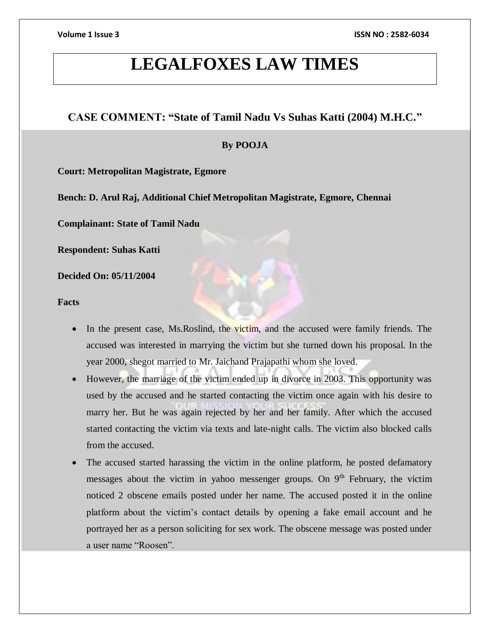# **LEGALFOXES LAW TIMES**

# **CASE COMMENT: "State of Tamil Nadu Vs Suhas Katti (2004) M.H.C."**

# **By POOJA**

**Court: Metropolitan Magistrate, Egmore**

**Bench: D. Arul Raj, Additional Chief Metropolitan Magistrate, Egmore, Chennai**

**Complainant: State of Tamil Nadu**

**Respondent: Suhas Katti**

**Decided On: 05/11/2004**

**Facts**

- In the present case, Ms.Roslind, the victim, and the accused were family friends. The accused was interested in marrying the victim but she turned down his proposal. In the year 2000, shegot married to Mr. Jaichand Prajapathi whom she loved.
- However, the marriage of the victim ended up in divorce in 2003. This opportunity was used by the accused and he started contacting the victim once again with his desire to marry her. But he was again rejected by her and her family. After which the accused started contacting the victim via texts and late-night calls. The victim also blocked calls from the accused.
- The accused started harassing the victim in the online platform, he posted defamatory messages about the victim in yahoo messenger groups. On  $9<sup>th</sup>$  February, the victim noticed 2 obscene emails posted under her name. The accused posted it in the online platform about the victim's contact details by opening a fake email account and he portrayed her as a person soliciting for sex work. The obscene message was posted under a user name "Roosen".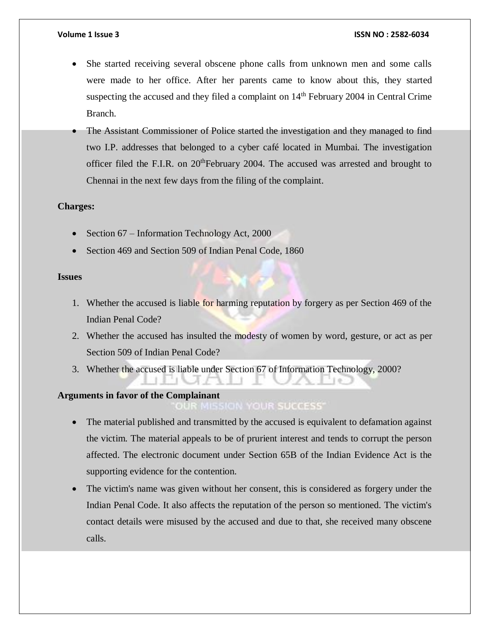- She started receiving several obscene phone calls from unknown men and some calls were made to her office. After her parents came to know about this, they started suspecting the accused and they filed a complaint on  $14<sup>th</sup>$  February 2004 in Central Crime Branch.
- The Assistant Commissioner of Police started the investigation and they managed to find two I.P. addresses that belonged to a cyber café located in Mumbai. The investigation officer filed the F.I.R. on  $20<sup>th</sup>$ February 2004. The accused was arrested and brought to Chennai in the next few days from the filing of the complaint.

# **Charges:**

- Section  $67$  Information Technology Act, 2000
- Section 469 and Section 509 of Indian Penal Code, 1860

# **Issues**

- 1. Whether the accused is liable for harming reputation by forgery as per Section 469 of the Indian Penal Code?
- 2. Whether the accused has insulted the modesty of women by word, gesture, or act as per Section 509 of Indian Penal Code?
- 3. Whether the accused is liable under Section 67 of Information Technology, 2000?

# **Arguments in favor of the Complainant**

# **OUR MISSION YOUR SUCCESS**

- The material published and transmitted by the accused is equivalent to defamation against the victim. The material appeals to be of prurient interest and tends to corrupt the person affected. The electronic document under Section 65B of the Indian Evidence Act is the supporting evidence for the contention.
- The victim's name was given without her consent, this is considered as forgery under the Indian Penal Code. It also affects the reputation of the person so mentioned. The victim's contact details were misused by the accused and due to that, she received many obscene calls.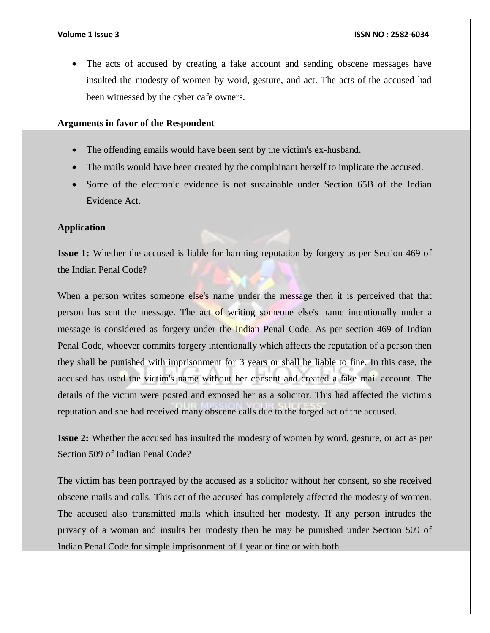The acts of accused by creating a fake account and sending obscene messages have insulted the modesty of women by word, gesture, and act. The acts of the accused had been witnessed by the cyber cafe owners.

### **Arguments in favor of the Respondent**

- The offending emails would have been sent by the victim's ex-husband.
- The mails would have been created by the complainant herself to implicate the accused.
- Some of the electronic evidence is not sustainable under Section 65B of the Indian Evidence Act.

#### **Application**

**Issue 1:** Whether the accused is liable for harming reputation by forgery as per Section 469 of the Indian Penal Code?

When a person writes someone else's name under the message then it is perceived that that person has sent the message. The act of writing someone else's name intentionally under a message is considered as forgery under the Indian Penal Code. As per section 469 of Indian Penal Code, whoever commits forgery intentionally which affects the reputation of a person then they shall be punished with imprisonment for 3 years or shall be liable to fine. In this case, the accused has used the victim's name without her consent and created a fake mail account. The details of the victim were posted and exposed her as a solicitor. This had affected the victim's reputation and she had received many obscene calls due to the forged act of the accused.

**Issue 2:** Whether the accused has insulted the modesty of women by word, gesture, or act as per Section 509 of Indian Penal Code?

The victim has been portrayed by the accused as a solicitor without her consent, so she received obscene mails and calls. This act of the accused has completely affected the modesty of women. The accused also transmitted mails which insulted her modesty. If any person intrudes the privacy of a woman and insults her modesty then he may be punished under Section 509 of Indian Penal Code for simple imprisonment of 1 year or fine or with both.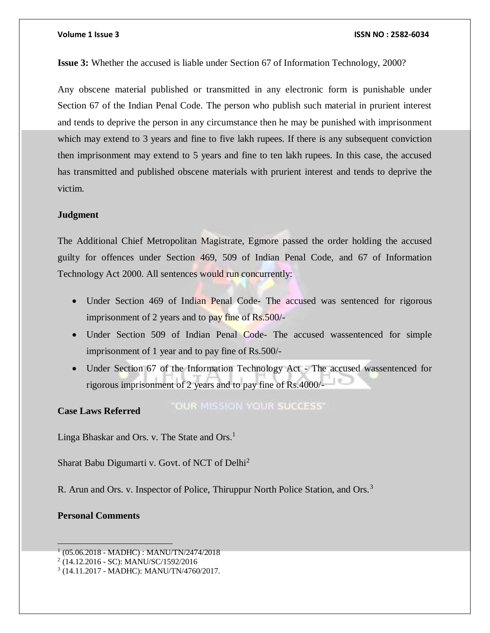#### **Volume 1 Issue 3 ISSN NO : 2582-6034**

**Issue 3:** Whether the accused is liable under Section 67 of Information Technology, 2000?

Any obscene material published or transmitted in any electronic form is punishable under Section 67 of the Indian Penal Code. The person who publish such material in prurient interest and tends to deprive the person in any circumstance then he may be punished with imprisonment which may extend to 3 years and fine to five lakh rupees. If there is any subsequent conviction then imprisonment may extend to 5 years and fine to ten lakh rupees. In this case, the accused has transmitted and published obscene materials with prurient interest and tends to deprive the victim.

#### **Judgment**

The Additional Chief Metropolitan Magistrate, Egmore passed the order holding the accused guilty for offences under Section 469, 509 of Indian Penal Code, and 67 of Information Technology Act 2000. All sentences would run concurrently:

- Under Section 469 of Indian Penal Code- The accused was sentenced for rigorous imprisonment of 2 years and to pay fine of Rs.500/-
- Under Section 509 of Indian Penal Code- The accused wassentenced for simple imprisonment of 1 year and to pay fine of Rs.500/-
- Under Section 67 of the Information Technology Act The accused wassentenced for rigorous imprisonment of 2 years and to pay fine of Rs.4000/-

#### **Case Laws Referred**

**"OUR MISSION YOUR SUCCESS"** 

Linga Bhaskar and Ors. v. The State and Ors.<sup>1</sup>

Sharat Babu Digumarti v. Govt. of NCT of Delhi<sup>2</sup>

R. Arun and Ors. v. Inspector of Police, Thiruppur North Police Station, and Ors.<sup>3</sup>

### **Personal Comments**

<sup>1</sup> (05.06.2018 - MADHC) : MANU/TN/2474/2018

<sup>2</sup> (14.12.2016 - SC): MANU/SC/1592/2016

<sup>3</sup> (14.11.2017 - MADHC): MANU/TN/4760/2017.